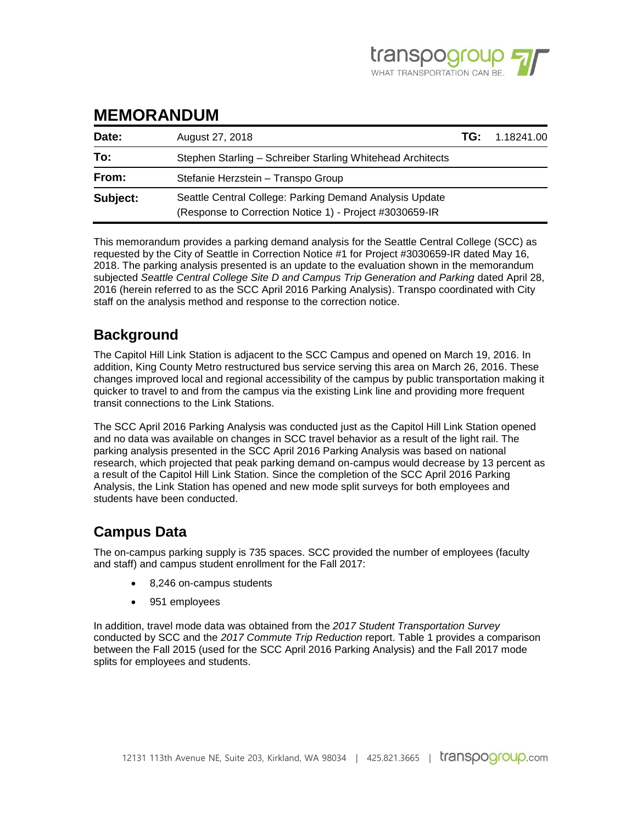

# **MEMORANDUM**

| Date:    | August 27, 2018                                            | TG: | 1.18241.00 |
|----------|------------------------------------------------------------|-----|------------|
| To:      | Stephen Starling – Schreiber Starling Whitehead Architects |     |            |
| From:    | Stefanie Herzstein - Transpo Group                         |     |            |
| Subject: |                                                            |     |            |

This memorandum provides a parking demand analysis for the Seattle Central College (SCC) as requested by the City of Seattle in Correction Notice #1 for Project #3030659-IR dated May 16, 2018. The parking analysis presented is an update to the evaluation shown in the memorandum subjected *Seattle Central College Site D and Campus Trip Generation and Parking* dated April 28, 2016 (herein referred to as the SCC April 2016 Parking Analysis). Transpo coordinated with City staff on the analysis method and response to the correction notice.

#### **Background**

The Capitol Hill Link Station is adjacent to the SCC Campus and opened on March 19, 2016. In addition, King County Metro restructured bus service serving this area on March 26, 2016. These changes improved local and regional accessibility of the campus by public transportation making it quicker to travel to and from the campus via the existing Link line and providing more frequent transit connections to the Link Stations.

The SCC April 2016 Parking Analysis was conducted just as the Capitol Hill Link Station opened and no data was available on changes in SCC travel behavior as a result of the light rail. The parking analysis presented in the SCC April 2016 Parking Analysis was based on national research, which projected that peak parking demand on-campus would decrease by 13 percent as a result of the Capitol Hill Link Station. Since the completion of the SCC April 2016 Parking Analysis, the Link Station has opened and new mode split surveys for both employees and students have been conducted.

### **Campus Data**

The on-campus parking supply is 735 spaces. SCC provided the number of employees (faculty and staff) and campus student enrollment for the Fall 2017:

- 8,246 on-campus students
- 951 employees

In addition, travel mode data was obtained from the *2017 Student Transportation Survey* conducted by SCC and the *2017 Commute Trip Reduction* report. Table 1 provides a comparison between the Fall 2015 (used for the SCC April 2016 Parking Analysis) and the Fall 2017 mode splits for employees and students.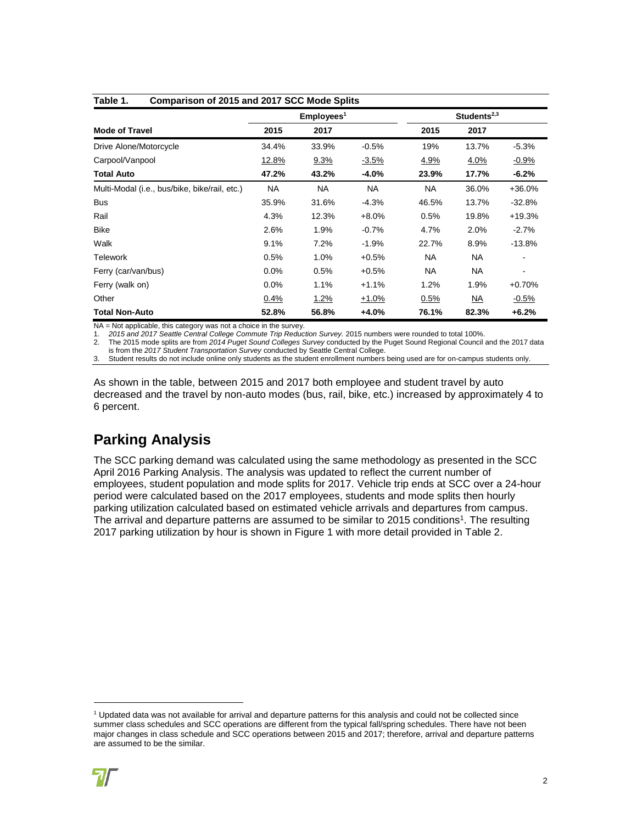| Comparison of 2015 and 2017 SCC Mode Splits<br>Table 1. |                       |         |           |                         |           |                          |  |
|---------------------------------------------------------|-----------------------|---------|-----------|-------------------------|-----------|--------------------------|--|
|                                                         | Employes <sup>1</sup> |         |           | Students <sup>2,3</sup> |           |                          |  |
| <b>Mode of Travel</b>                                   | 2015                  | 2017    |           | 2015                    | 2017      |                          |  |
| Drive Alone/Motorcycle                                  | 34.4%                 | 33.9%   | $-0.5%$   | 19%                     | 13.7%     | $-5.3%$                  |  |
| Carpool/Vanpool                                         | <u>12.8%</u>          | 9.3%    | $-3.5%$   | <u>4.9%</u>             | 4.0%      | $-0.9%$                  |  |
| <b>Total Auto</b>                                       | 47.2%                 | 43.2%   | $-4.0%$   | 23.9%                   | 17.7%     | -6.2%                    |  |
| Multi-Modal (i.e., bus/bike, bike/rail, etc.)           | NA.                   | NA.     | <b>NA</b> | <b>NA</b>               | 36.0%     | $+36.0%$                 |  |
| <b>Bus</b>                                              | 35.9%                 | 31.6%   | $-4.3%$   | 46.5%                   | 13.7%     | $-32.8%$                 |  |
| Rail                                                    | 4.3%                  | 12.3%   | $+8.0%$   | 0.5%                    | 19.8%     | $+19.3%$                 |  |
| <b>Bike</b>                                             | 2.6%                  | 1.9%    | $-0.7%$   | 4.7%                    | 2.0%      | $-2.7%$                  |  |
| Walk                                                    | 9.1%                  | 7.2%    | $-1.9%$   | 22.7%                   | 8.9%      | $-13.8%$                 |  |
| <b>Telework</b>                                         | 0.5%                  | 1.0%    | $+0.5%$   | <b>NA</b>               | <b>NA</b> |                          |  |
| Ferry (car/van/bus)                                     | 0.0%                  | 0.5%    | $+0.5%$   | <b>NA</b>               | <b>NA</b> | $\overline{\phantom{0}}$ |  |
| Ferry (walk on)                                         | 0.0%                  | 1.1%    | $+1.1%$   | 1.2%                    | 1.9%      | $+0.70%$                 |  |
| Other                                                   | $0.4\%$               | $1.2\%$ | $+1.0%$   | 0.5%                    | NA.       | $-0.5%$                  |  |
| <b>Total Non-Auto</b>                                   | 52.8%                 | 56.8%   | $+4.0%$   | 76.1%                   | 82.3%     | +6.2%                    |  |

NA = Not applicable, this category was not a choice in the survey.

1. 2015 and 2017 Seattle Central College Commute Trip Reduction Survey. 2015 numbers were rounded to total 100%.<br>2. The 2015 mode splits are from 2014 Puget Sound Colleges Survey conducted by the Puget Sound Regional Counc

2. The 2015 mode splits are from *2014 Puget Sound Colleges Survey* conducted by the Puget Sound Regional Council and the 2017 data is from the *2017 Student Transportation Survey* conducted by Seattle Central College.

3. Student results do not include online only students as the student enrollment numbers being used are for on-campus students only.

As shown in the table, between 2015 and 2017 both employee and student travel by auto decreased and the travel by non-auto modes (bus, rail, bike, etc.) increased by approximately 4 to 6 percent.

### **Parking Analysis**

The SCC parking demand was calculated using the same methodology as presented in the SCC April 2016 Parking Analysis. The analysis was updated to reflect the current number of employees, student population and mode splits for 2017. Vehicle trip ends at SCC over a 24-hour period were calculated based on the 2017 employees, students and mode splits then hourly parking utilization calculated based on estimated vehicle arrivals and departures from campus. The arrival and departure patterns are assumed to be similar to 2015 conditions<sup>1</sup>. The resulting 2017 parking utilization by hour is shown in Figure 1 with more detail provided in Table 2.

l

<sup>1</sup> Updated data was not available for arrival and departure patterns for this analysis and could not be collected since summer class schedules and SCC operations are different from the typical fall/spring schedules. There have not been major changes in class schedule and SCC operations between 2015 and 2017; therefore, arrival and departure patterns are assumed to be the similar.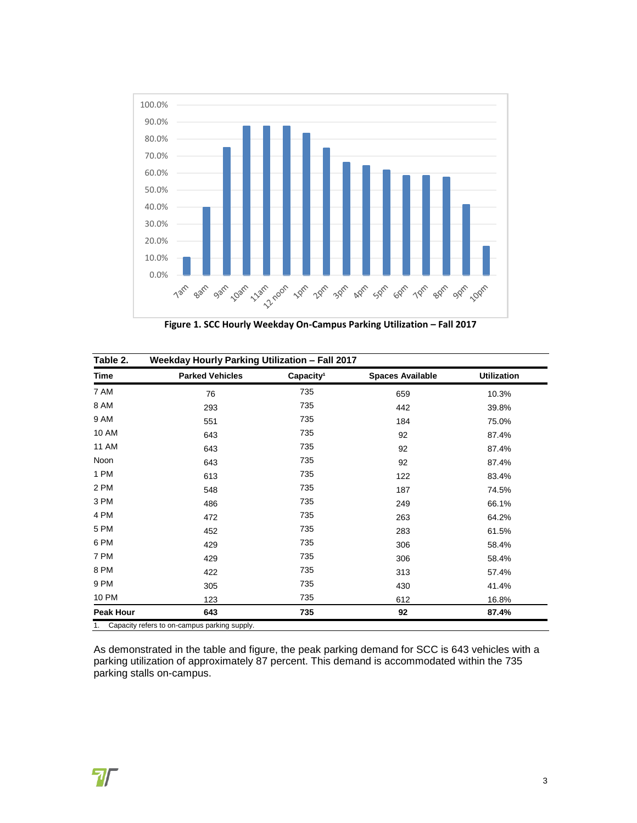

**Figure 1. SCC Hourly Weekday On-Campus Parking Utilization – Fall 2017**

| Table 2.         | Weekday Hourly Parking Utilization - Fall 2017 |                       |                         |                    |  |
|------------------|------------------------------------------------|-----------------------|-------------------------|--------------------|--|
| <b>Time</b>      | <b>Parked Vehicles</b>                         | Capacity <sup>1</sup> | <b>Spaces Available</b> | <b>Utilization</b> |  |
| 7 AM             | 76                                             | 735                   | 659                     | 10.3%              |  |
| 8 AM             | 293                                            | 735                   | 442                     | 39.8%              |  |
| 9 AM             | 551                                            | 735                   | 184                     | 75.0%              |  |
| <b>10 AM</b>     | 643                                            | 735                   | 92                      | 87.4%              |  |
| <b>11 AM</b>     | 643                                            | 735                   | 92                      | 87.4%              |  |
| Noon             | 643                                            | 735                   | 92                      | 87.4%              |  |
| 1 PM             | 613                                            | 735                   | 122                     | 83.4%              |  |
| 2 PM             | 548                                            | 735                   | 187                     | 74.5%              |  |
| 3 PM             | 486                                            | 735                   | 249                     | 66.1%              |  |
| 4 PM             | 472                                            | 735                   | 263                     | 64.2%              |  |
| 5 PM             | 452                                            | 735                   | 283                     | 61.5%              |  |
| 6 PM             | 429                                            | 735                   | 306                     | 58.4%              |  |
| 7 PM             | 429                                            | 735                   | 306                     | 58.4%              |  |
| 8 PM             | 422                                            | 735                   | 313                     | 57.4%              |  |
| 9 PM             | 305                                            | 735                   | 430                     | 41.4%              |  |
| 10 PM            | 123                                            | 735                   | 612                     | 16.8%              |  |
| <b>Peak Hour</b> | 643                                            | 735                   | 92                      | 87.4%              |  |

1. Capacity refers to on-campus parking supply.

As demonstrated in the table and figure, the peak parking demand for SCC is 643 vehicles with a parking utilization of approximately 87 percent. This demand is accommodated within the 735 parking stalls on-campus.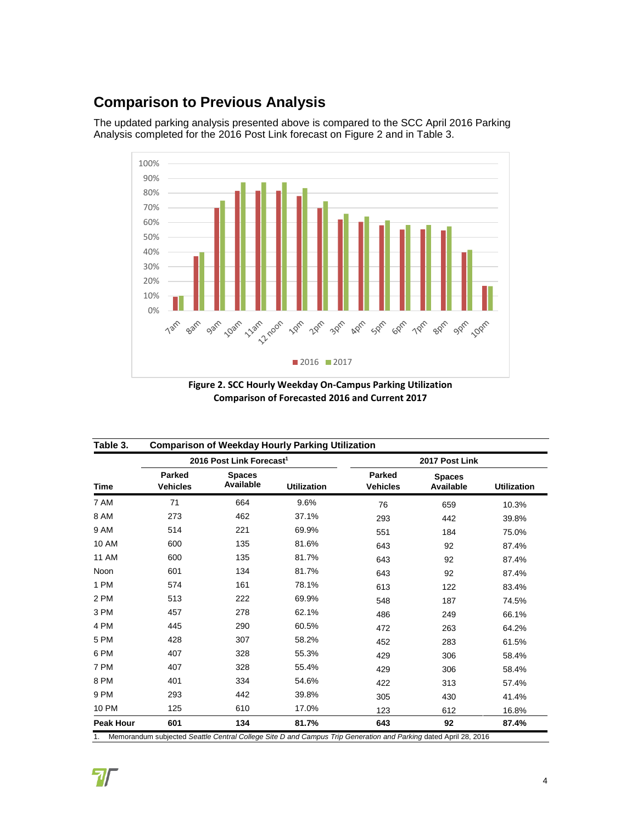## **Comparison to Previous Analysis**

The updated parking analysis presented above is compared to the SCC April 2016 Parking Analysis completed for the 2016 Post Link forecast on Figure 2 and in Table 3.



**Figure 2. SCC Hourly Weekday On-Campus Parking Utilization Comparison of Forecasted 2016 and Current 2017** 

| Table 3.         |                                      |                                   | <b>Comparison of Weekday Hourly Parking Utilization</b> |                           |                                   |                    |  |
|------------------|--------------------------------------|-----------------------------------|---------------------------------------------------------|---------------------------|-----------------------------------|--------------------|--|
| <b>Time</b>      | 2016 Post Link Forecast <sup>1</sup> |                                   |                                                         | 2017 Post Link            |                                   |                    |  |
|                  | <b>Parked</b><br><b>Vehicles</b>     | <b>Spaces</b><br><b>Available</b> | <b>Utilization</b>                                      | Parked<br><b>Vehicles</b> | <b>Spaces</b><br><b>Available</b> | <b>Utilization</b> |  |
| 7 AM             | 71                                   | 664                               | 9.6%                                                    | 76                        | 659                               | 10.3%              |  |
| 8 AM             | 273                                  | 462                               | 37.1%                                                   | 293                       | 442                               | 39.8%              |  |
| 9 AM             | 514                                  | 221                               | 69.9%                                                   | 551                       | 184                               | 75.0%              |  |
| <b>10 AM</b>     | 600                                  | 135                               | 81.6%                                                   | 643                       | 92                                | 87.4%              |  |
| <b>11 AM</b>     | 600                                  | 135                               | 81.7%                                                   | 643                       | 92                                | 87.4%              |  |
| Noon             | 601                                  | 134                               | 81.7%                                                   | 643                       | 92                                | 87.4%              |  |
| 1 PM             | 574                                  | 161                               | 78.1%                                                   | 613                       | 122                               | 83.4%              |  |
| 2 PM             | 513                                  | 222                               | 69.9%                                                   | 548                       | 187                               | 74.5%              |  |
| 3 PM             | 457                                  | 278                               | 62.1%                                                   | 486                       | 249                               | 66.1%              |  |
| 4 PM             | 445                                  | 290                               | 60.5%                                                   | 472                       | 263                               | 64.2%              |  |
| 5 PM             | 428                                  | 307                               | 58.2%                                                   | 452                       | 283                               | 61.5%              |  |
| 6 PM             | 407                                  | 328                               | 55.3%                                                   | 429                       | 306                               | 58.4%              |  |
| 7 PM             | 407                                  | 328                               | 55.4%                                                   | 429                       | 306                               | 58.4%              |  |
| 8 PM             | 401                                  | 334                               | 54.6%                                                   | 422                       | 313                               | 57.4%              |  |
| 9 PM             | 293                                  | 442                               | 39.8%                                                   | 305                       | 430                               | 41.4%              |  |
| <b>10 PM</b>     | 125                                  | 610                               | 17.0%                                                   | 123                       | 612                               | 16.8%              |  |
| <b>Peak Hour</b> | 601                                  | 134                               | 81.7%                                                   | 643                       | 92                                | 87.4%              |  |